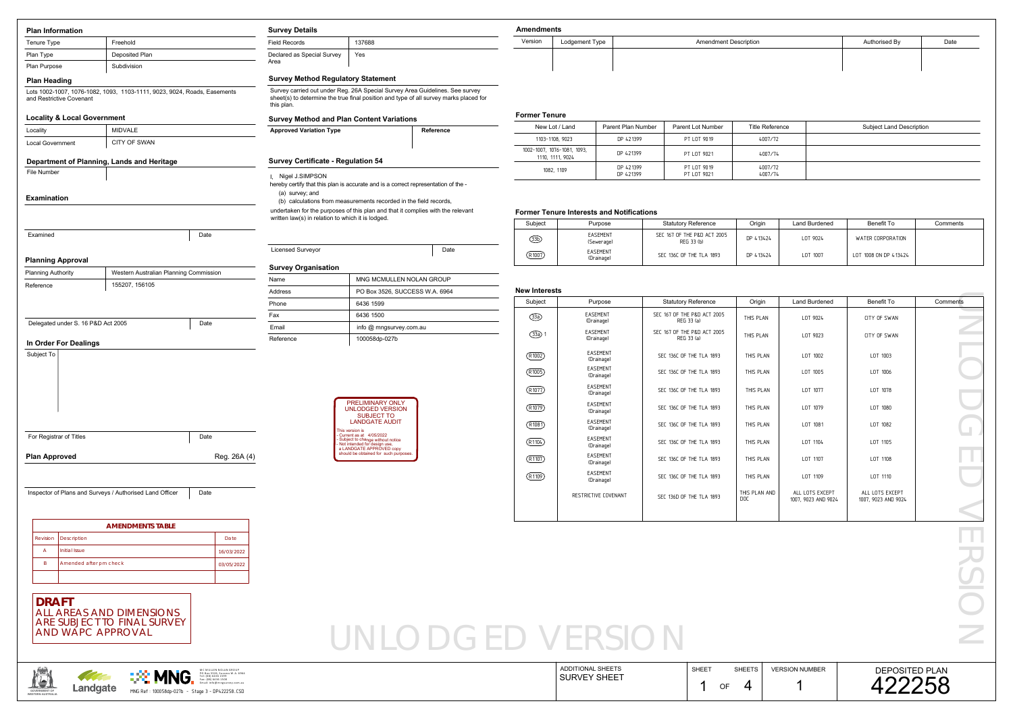| <b>Plan Information</b>                                             |                                                                                                                                                  | <b>Survey Details</b>                                                                           | <b>Amendments</b>                                                                                                                                                     |                                                  |                               |                    |                                                           |                        |                                        |                                        |                          |
|---------------------------------------------------------------------|--------------------------------------------------------------------------------------------------------------------------------------------------|-------------------------------------------------------------------------------------------------|-----------------------------------------------------------------------------------------------------------------------------------------------------------------------|--------------------------------------------------|-------------------------------|--------------------|-----------------------------------------------------------|------------------------|----------------------------------------|----------------------------------------|--------------------------|
| Tenure Type                                                         | Freehold                                                                                                                                         | <b>Field Records</b>                                                                            | 137688                                                                                                                                                                | Version                                          | Lodgement Type                |                    | <b>Amendment Description</b>                              |                        |                                        | Authorised By                          | Date                     |
| Plan Type                                                           | Deposited Plan                                                                                                                                   | Declared as Special Survey                                                                      | Yes                                                                                                                                                                   |                                                  |                               |                    |                                                           |                        |                                        |                                        |                          |
| Plan Purpose                                                        | Subdivision                                                                                                                                      | Area                                                                                            |                                                                                                                                                                       |                                                  |                               |                    |                                                           |                        |                                        |                                        |                          |
| <b>Plan Heading</b>                                                 |                                                                                                                                                  | <b>Survey Method Regulatory Statement</b>                                                       |                                                                                                                                                                       |                                                  |                               |                    |                                                           |                        |                                        |                                        |                          |
| and Restrictive Covenant                                            | Lots 1002-1007, 1076-1082, 1093, 1103-1111, 9023, 9024, Roads, Easements                                                                         | this plan.                                                                                      | Survey carried out under Reg. 26A Special Survey Area Guidelines. See survey<br>sheet(s) to determine the true final position and type of all survey marks placed for |                                                  |                               |                    |                                                           |                        |                                        |                                        |                          |
| <b>Locality &amp; Local Government</b>                              |                                                                                                                                                  |                                                                                                 |                                                                                                                                                                       | <b>Former Tenure</b>                             |                               |                    |                                                           |                        |                                        |                                        |                          |
| Locality                                                            | <b>MIDVALE</b>                                                                                                                                   | <b>Survey Method and Plan Content Variations</b><br><b>Approved Variation Type</b><br>Reference |                                                                                                                                                                       | New Lot / Land                                   |                               | Parent Plan Number | Parent Lot Number                                         | <b>Title Reference</b> |                                        | <b>Subject Land Description</b>        |                          |
| <b>Local Government</b>                                             | CITY OF SWAN                                                                                                                                     |                                                                                                 |                                                                                                                                                                       | 1103-1108, 9023                                  |                               | DP 421399          | PT LOT 9019                                               | 4007/72                |                                        |                                        |                          |
|                                                                     |                                                                                                                                                  |                                                                                                 |                                                                                                                                                                       | 1002-1007, 1076-1081, 1093,<br>1110, 1111, 9024  |                               | DP 421399          | PT LOT 9021                                               | 4007/74                |                                        |                                        |                          |
| <b>File Number</b>                                                  | Department of Planning, Lands and Heritage                                                                                                       | <b>Survey Certificate - Regulation 54</b>                                                       |                                                                                                                                                                       | 1082, 1109                                       |                               | DP 421399          | PT LOT 9019                                               | 4007/72                |                                        |                                        |                          |
| <b>Examination</b>                                                  |                                                                                                                                                  | Nigel J.SIMPSON<br>(a) survey; and                                                              | hereby certify that this plan is accurate and is a correct representation of the -<br>(b) calculations from measurements recorded in the field records,               |                                                  |                               | DP 421399          | PT LOT 9021                                               | 4007/74                |                                        |                                        |                          |
|                                                                     |                                                                                                                                                  | written law(s) in relation to which it is lodged.                                               | undertaken for the purposes of this plan and that it complies with the relevant                                                                                       | <b>Former Tenure Interests and Notifications</b> |                               |                    |                                                           |                        |                                        |                                        |                          |
| Examined                                                            | Date                                                                                                                                             |                                                                                                 |                                                                                                                                                                       | Subject                                          | Purpose<br>EASEMENT           |                    | <b>Statutory Reference</b><br>SEC 167 OF THE P&D ACT 2005 | Origin                 | <b>Land Burdened</b>                   | <b>Benefit To</b>                      | Comments                 |
|                                                                     |                                                                                                                                                  |                                                                                                 |                                                                                                                                                                       | $\circled{3D}$                                   | (Sewerage)                    |                    | REG 33 (b)                                                | DP 413424              | LOT 9024                               | <b>WATER CORPORATION</b>               |                          |
| <b>Planning Approval</b>                                            |                                                                                                                                                  | <b>Licensed Surveyor</b>                                                                        | Date                                                                                                                                                                  | (R1007)                                          | EASEMENT<br>(Drainage)        |                    | SEC 136C OF THE TLA 1893                                  | DP 413424              | LOT 1007                               | LOT 1008 ON DP 413424                  |                          |
| <b>Planning Authority</b>                                           | Western Australian Planning Commission                                                                                                           | <b>Survey Organisation</b>                                                                      |                                                                                                                                                                       |                                                  |                               |                    |                                                           |                        |                                        |                                        |                          |
| Reference                                                           | 155207, 156105                                                                                                                                   | Name                                                                                            | MNG MCMULLEN NOLAN GROUP                                                                                                                                              |                                                  |                               |                    |                                                           |                        |                                        |                                        |                          |
|                                                                     |                                                                                                                                                  | Address                                                                                         | PO Box 3526, SUCCESS W.A. 6964                                                                                                                                        | <b>New Interests</b><br>Subject                  |                               |                    | <b>Statutory Reference</b>                                | Origin                 | <b>Land Burdened</b>                   | Benefit To                             | Comments                 |
|                                                                     |                                                                                                                                                  | Phone                                                                                           | 6436 1599                                                                                                                                                             |                                                  | Purpose<br>EASEMENT           |                    | SEC 167 OF THE P&D ACT 2005                               |                        |                                        |                                        |                          |
| Delegated under S. 16 P&D Act 2005                                  | Date                                                                                                                                             | Fax<br>Email                                                                                    | 6436 1500<br>info @ mngsurvey.com.au                                                                                                                                  | $\circled{33}$                                   | (Drainage)                    |                    | REG 33 (a)                                                | THIS PLAN              | LOT 9024                               | CITY OF SWAN                           | <b>Contract Contract</b> |
|                                                                     |                                                                                                                                                  | Reference                                                                                       | 100058dp-027b                                                                                                                                                         | $\bigcirc$ 1                                     | EASEMENT<br>(Drainage)        |                    | SEC 167 OF THE P&D ACT 2005<br>REG 33 (a)                 | THIS PLAN              | LOT 9023                               | CITY OF SWAN                           |                          |
| In Order For Dealings<br>Subject To                                 |                                                                                                                                                  |                                                                                                 |                                                                                                                                                                       |                                                  | EASEMENT                      |                    |                                                           |                        |                                        |                                        |                          |
|                                                                     |                                                                                                                                                  |                                                                                                 |                                                                                                                                                                       | (R1002)                                          | (Drainage)                    |                    | SEC 136C OF THE TLA 1893                                  | THIS PLAN              | LOT 1002                               | LOT 1003                               |                          |
|                                                                     |                                                                                                                                                  |                                                                                                 |                                                                                                                                                                       | (R1005)                                          | EASEMENT<br>(Drainage)        |                    | SEC 136C OF THE TLA 1893                                  | THIS PLAN              | LOT 1005                               | LOT 1006                               |                          |
|                                                                     |                                                                                                                                                  |                                                                                                 |                                                                                                                                                                       | (R1077)                                          | EASEMENT<br>(Drainage)        |                    | SEC 136C OF THE TLA 1893                                  | THIS PLAN              | LOT 1077                               | LOT 1078                               |                          |
|                                                                     |                                                                                                                                                  |                                                                                                 | PRELIMINARY ONLY                                                                                                                                                      |                                                  | EASEMENT                      |                    |                                                           |                        |                                        | LOT 1080                               |                          |
|                                                                     |                                                                                                                                                  |                                                                                                 | <b>UNLODGED VERSION</b><br><b>SUBJECT TO</b>                                                                                                                          | (R1079)                                          | (Drainage)                    |                    | SEC 136C OF THE TLA 1893                                  | THIS PLAN              | LOT 1079                               |                                        |                          |
|                                                                     |                                                                                                                                                  |                                                                                                 | <b>LANDGATE AUDIT</b><br>This version is                                                                                                                              | (R1081)                                          | EASEMENT<br>(Drainage)        |                    | SEC 136C OF THE TLA 1893                                  | THIS PLAN              | LOT 1081                               | LOT 1082                               |                          |
| For Registrar of Titles                                             | Date                                                                                                                                             |                                                                                                 | Current as at 4/05/2022<br>- Subject to change without notice<br>- Not intended for design use,<br>a LANDGATE APPROVED copy                                           | (R1104)                                          | EASEMENT<br>(Drainage)        |                    | SEC 136C OF THE TLA 1893                                  | THIS PLAN              | LOT 1104                               | LOT 1105                               |                          |
| <b>Plan Approved</b>                                                | Reg. 26A (4)                                                                                                                                     |                                                                                                 | should be obtained for such purposes.                                                                                                                                 | (R1107)                                          | EASEMENT                      |                    | SEC 136C OF THE TLA 1893                                  | THIS PLAN              | LOT 1107                               | LOT 1108                               |                          |
|                                                                     |                                                                                                                                                  |                                                                                                 |                                                                                                                                                                       |                                                  | (Drainage)<br><b>EASEMENT</b> |                    |                                                           |                        |                                        |                                        |                          |
|                                                                     |                                                                                                                                                  |                                                                                                 |                                                                                                                                                                       | (R1109)                                          | (Drainage)                    |                    | SEC 136C OF THE TLA 1893                                  | THIS PLAN              | LOT 1109                               | LOT 1110                               |                          |
|                                                                     | Date<br>Inspector of Plans and Surveys / Authorised Land Officer                                                                                 |                                                                                                 |                                                                                                                                                                       |                                                  | RESTRICTIVE COVENANT          |                    | SEC 136D OF THE TLA 1893                                  | THIS PLAN AND<br>DOC   | ALL LOTS EXCEPT<br>1007, 9023 AND 9024 | ALL LOTS EXCEPT<br>1007, 9023 AND 9024 |                          |
|                                                                     |                                                                                                                                                  |                                                                                                 |                                                                                                                                                                       |                                                  |                               |                    |                                                           |                        |                                        |                                        |                          |
|                                                                     | <b>AMENDMENTS TABLE</b>                                                                                                                          |                                                                                                 |                                                                                                                                                                       |                                                  |                               |                    |                                                           |                        |                                        |                                        |                          |
| Revision<br>Description                                             | Date                                                                                                                                             |                                                                                                 |                                                                                                                                                                       |                                                  |                               |                    |                                                           |                        |                                        |                                        |                          |
| Initial Issue<br>- A                                                | 16/03/2022                                                                                                                                       |                                                                                                 |                                                                                                                                                                       |                                                  |                               |                    |                                                           |                        |                                        |                                        |                          |
| Amended after pm check                                              | 03/05/2022                                                                                                                                       |                                                                                                 |                                                                                                                                                                       |                                                  |                               |                    |                                                           |                        |                                        |                                        |                          |
|                                                                     |                                                                                                                                                  |                                                                                                 |                                                                                                                                                                       |                                                  |                               |                    |                                                           |                        |                                        |                                        |                          |
| <b>DRAFT</b>                                                        |                                                                                                                                                  |                                                                                                 |                                                                                                                                                                       |                                                  |                               |                    |                                                           |                        |                                        |                                        |                          |
|                                                                     | ALL AREAS AND DIMENSIONS                                                                                                                         |                                                                                                 |                                                                                                                                                                       |                                                  |                               |                    |                                                           |                        |                                        |                                        |                          |
| AND WAPC APPROVAL                                                   | ARE SUBJECT TO FINAL SURVEY                                                                                                                      |                                                                                                 |                                                                                                                                                                       |                                                  |                               |                    |                                                           |                        |                                        |                                        |                          |
|                                                                     |                                                                                                                                                  |                                                                                                 | UNLODGED VERSION                                                                                                                                                      |                                                  |                               |                    |                                                           |                        |                                        |                                        |                          |
|                                                                     |                                                                                                                                                  |                                                                                                 |                                                                                                                                                                       |                                                  |                               |                    |                                                           |                        |                                        |                                        |                          |
|                                                                     | AC MULLEN NOLAN GROUP                                                                                                                            |                                                                                                 |                                                                                                                                                                       |                                                  | <b>ADDITIONAL SHEETS</b>      |                    | <b>SHEET</b>                                              | <b>SHEETS</b>          | <b>VERSION NUMBER</b>                  | <b>DEPOSITED PLAN</b>                  |                          |
|                                                                     | <u>∷® MNG.</u><br>MC MODELN WORK<br>PO Box 3526, Success W.A. 6964<br>Tel: (08) 6436 1599<br>Fax: (08) 6436 1500<br>Email: info@mngsurvey.com.au |                                                                                                 |                                                                                                                                                                       |                                                  | <b>SURVEY SHEET</b>           |                    |                                                           |                        |                                        | 422258                                 |                          |
| <b>Landgate</b><br><b>GOVERNMENT OF</b><br><b>WESTERN AUSTRALIA</b> | MNG Ref: 100058dp-027b - Stage 3 - DP422258.CSD                                                                                                  |                                                                                                 |                                                                                                                                                                       |                                                  |                               |                    | OF                                                        | 4                      |                                        |                                        |                          |

### **Amendments**

| ıments |                |                              |               |      |  |  |  |  |  |
|--------|----------------|------------------------------|---------------|------|--|--|--|--|--|
|        | Lodgement Type | <b>Amendment Description</b> | Authorised By | Date |  |  |  |  |  |
|        |                |                              |               |      |  |  |  |  |  |
|        |                |                              |               |      |  |  |  |  |  |

| New Lot / Land                                  | Parent Plan Number     | Parent Lot Number          | Title Reference    | Subject Land Description |
|-------------------------------------------------|------------------------|----------------------------|--------------------|--------------------------|
| 1103-1108, 9023                                 | DP 421399              | PT LOT 9019                | 4007/72            |                          |
| 1002-1007, 1076-1081, 1093,<br>1110, 1111, 9024 | DP 421399              | PT LOT 9021                | 4007/74            |                          |
| 1082, 1109                                      | DP 421399<br>DP 421399 | PT LOT 9019<br>PT LOT 9021 | 4007/72<br>4007/74 |                          |

### **Former Tenure Interests and Notifications**



| ubject             | Purpose                | <b>Statutory Reference</b>                | <b>Origin</b> | Land Burdened | Benefit To            | Comments |
|--------------------|------------------------|-------------------------------------------|---------------|---------------|-----------------------|----------|
| ®                  | EASEMENT<br>(Sewerage) | SEC 167 OF THE P&D ACT 2005<br>REG 33 (b) | DP 413424     | LOT 9024      | WATER CORPORATION     |          |
| $\overline{R1007}$ | EASEMENT<br>(Drainage) | SEC 136C OF THE TLA 1893                  | DP 413424     | LOT 1007      | LOT 1008 ON DP 413424 |          |

| Subject       | Purpose                       | <b>Statutory Reference</b>                | Origin                      | <b>Land Burdened</b>                   | Benefit To                             | Comments |
|---------------|-------------------------------|-------------------------------------------|-----------------------------|----------------------------------------|----------------------------------------|----------|
| $\circled{3}$ | <b>EASEMENT</b><br>(Drainage) | SEC 167 OF THE P&D ACT 2005<br>REG 33 (a) | THIS PLAN                   | LOT 9024                               | CITY OF SWAN                           |          |
| $\circled{3}$ | <b>EASEMENT</b><br>(Drainage) | SEC 167 OF THE P&D ACT 2005<br>REG 33 (a) | THIS PLAN                   | LOT 9023                               | CITY OF SWAN                           |          |
| (R1002)       | <b>EASEMENT</b><br>(Drainage) | SEC 136C OF THE TLA 1893                  | THIS PLAN                   | LOT 1002                               | LOT 1003                               |          |
| (R1005)       | <b>EASEMENT</b><br>(Drainage) | SEC 136C OF THE TLA 1893                  | THIS PLAN                   | LOT 1005                               | LOT 1006                               |          |
| (R1077)       | <b>EASEMENT</b><br>(Drainage) | SEC 136C OF THE TLA 1893                  | THIS PLAN                   | LOT 1077                               | LOT 1078                               |          |
| (R1079)       | <b>EASEMENT</b><br>(Drainage) | SEC 136C OF THE TLA 1893                  | THIS PLAN                   | LOT 1079                               | LOT 1080                               |          |
| (R1081)       | <b>EASEMENT</b><br>(Drainage) | SEC 136C OF THE TLA 1893                  | THIS PLAN                   | LOT 1081                               | LOT 1082                               |          |
| (R1104)       | <b>EASEMENT</b><br>(Drainage) | SEC 136C OF THE TLA 1893                  | THIS PLAN                   | LOT 1104                               | LOT 1105                               |          |
| (R1107)       | <b>EASEMENT</b><br>(Drainage) | SEC 136C OF THE TLA 1893                  | THIS PLAN                   | LOT 1107                               | LOT 1108                               |          |
| (R1109)       | <b>EASEMENT</b><br>(Drainage) | SEC 136C OF THE TLA 1893                  | THIS PLAN                   | LOT 1109                               | LOT 1110                               |          |
|               | RESTRICTIVE COVENANT          | SEC 136D OF THE TLA 1893                  | THIS PLAN AND<br><b>DOC</b> | ALL LOTS EXCEPT<br>1007, 9023 AND 9024 | ALL LOTS EXCEPT<br>1007, 9023 AND 9024 |          |
|               |                               |                                           |                             |                                        |                                        |          |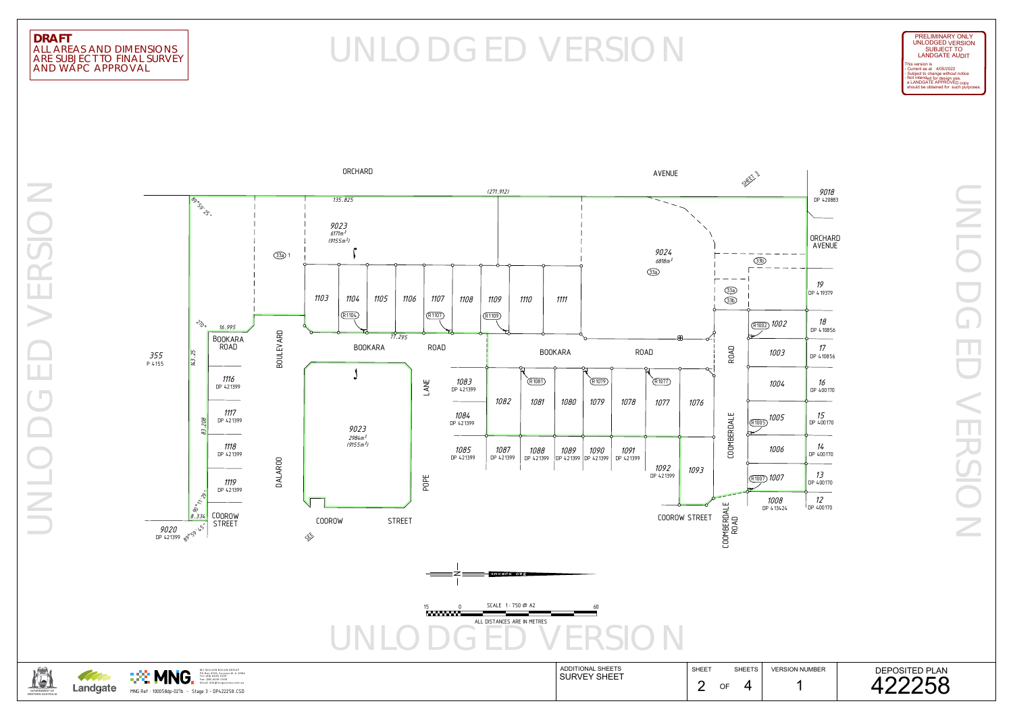UNLODGED VERSION  $\overline{z}$ 口乙  $\sim 10^{10}$  and  $\sim 10^{10}$ 

## AND WAPC APPROVAL ARE SUBJECT TO FINAL SURVEY ALL AREAS AND DIMENSIONS

## DRAFT<br>ALL AREAS AND DIMENSIONS<br>ARE SUBJECT TO FINAL SURVEY

UNLODGED VERSION ERSIC  $\sim$  $\mathcal{L}^{\text{max}}$ 



OF ADDITIONAL SHEETSSHEET SHEETS | VERSION NUMBER Landgate  $\frac{1}{2}$  OF 4 SURVEY SHEET  $\blacksquare$  MNU  $\blacksquare$  Fax: (08)  $^{54.1\atop \text{final:} \text{begin}: 200\atop \text{final:} \text{linear} \text{normal}}$  and  $\blacksquare$  and  $\blacksquare$  and  $\blacksquare$  and  $\blacksquare$  and  $\blacksquare$  and  $\blacksquare$  and  $\blacksquare$  and  $\blacksquare$  and  $\blacksquare$  and  $\blacksquare$  and  $\blacksquare$  and  $\blacksquare$  and  $\blacksquare$  and



should be obtained for such purposes. This version is<br>- Current as at 4/05/2022<br>- Subject to change without notice<br>- Not intended for design use,<br>- a LANDGATE APPROVED copy





LANDGATE AUDIT SUBJECT TO UNLODGED VERSION PRELIMINARY ONLY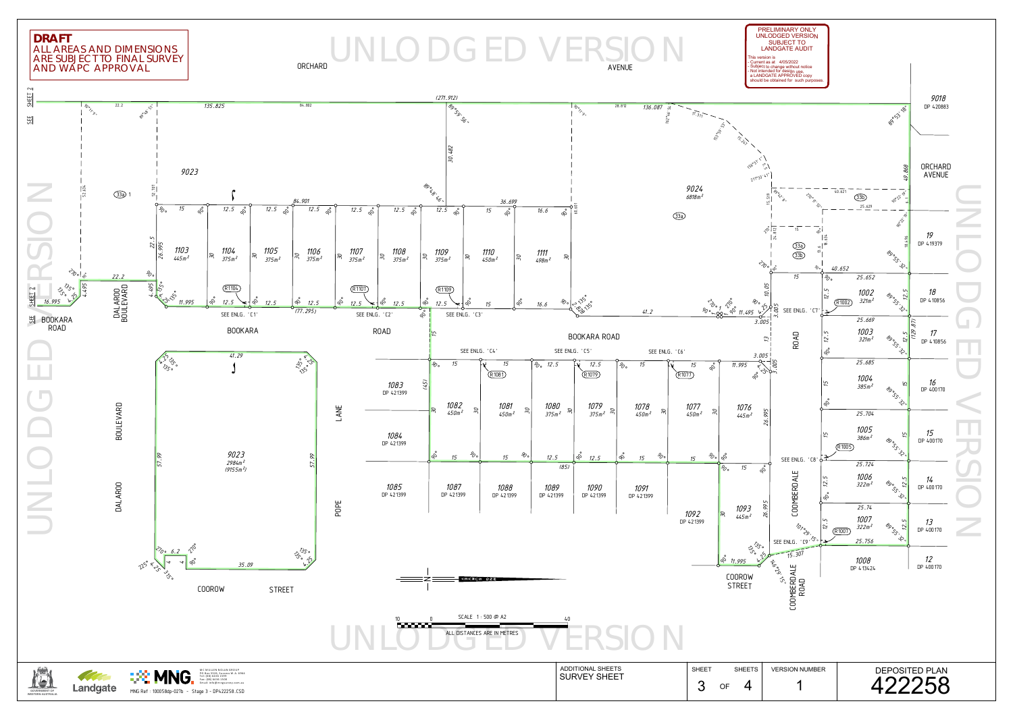ARE SUBJECT TO FINAL SURVEY ALL AREAS AND DIMENSIONS

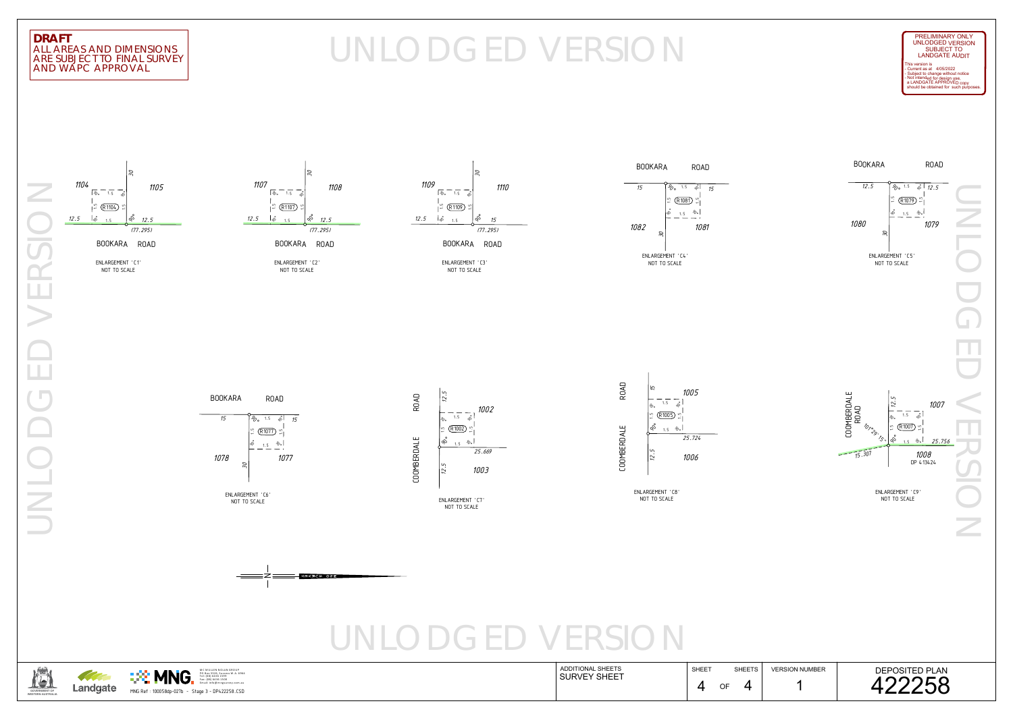

## AND WAPC APPROVAL ARE SUBJECT TO FINAL SURVEY ALL AREAS AND DIMENSIONS

# DRAFT<br>ALL AREAS AND DIMENSIONS<br>ARE SUBJECT TO FINAL SURVEY









MC MULLEN NOLAN GROUP<br>PO Box 3526, Success W .A. 6964



BOOKARA ROAD

NOT TO SCALE ENLARGEMENT 'C1'



BOOKARA ROAD

NOT TO SCALE ENLARGEMENT 'C2'



NOT TO SCALE ENLARGEMENT 'C3'

should be obtained for such purposes. This version is<br>- Current as at 4/05/2022<br>- Subject to change without notice<br>- Not intended for design use,<br>- a LANDGATE APPROVED copy LANDGATE AUDIT SUBJECT TO UNLODGED VERSION PRELIMINARY ONLY